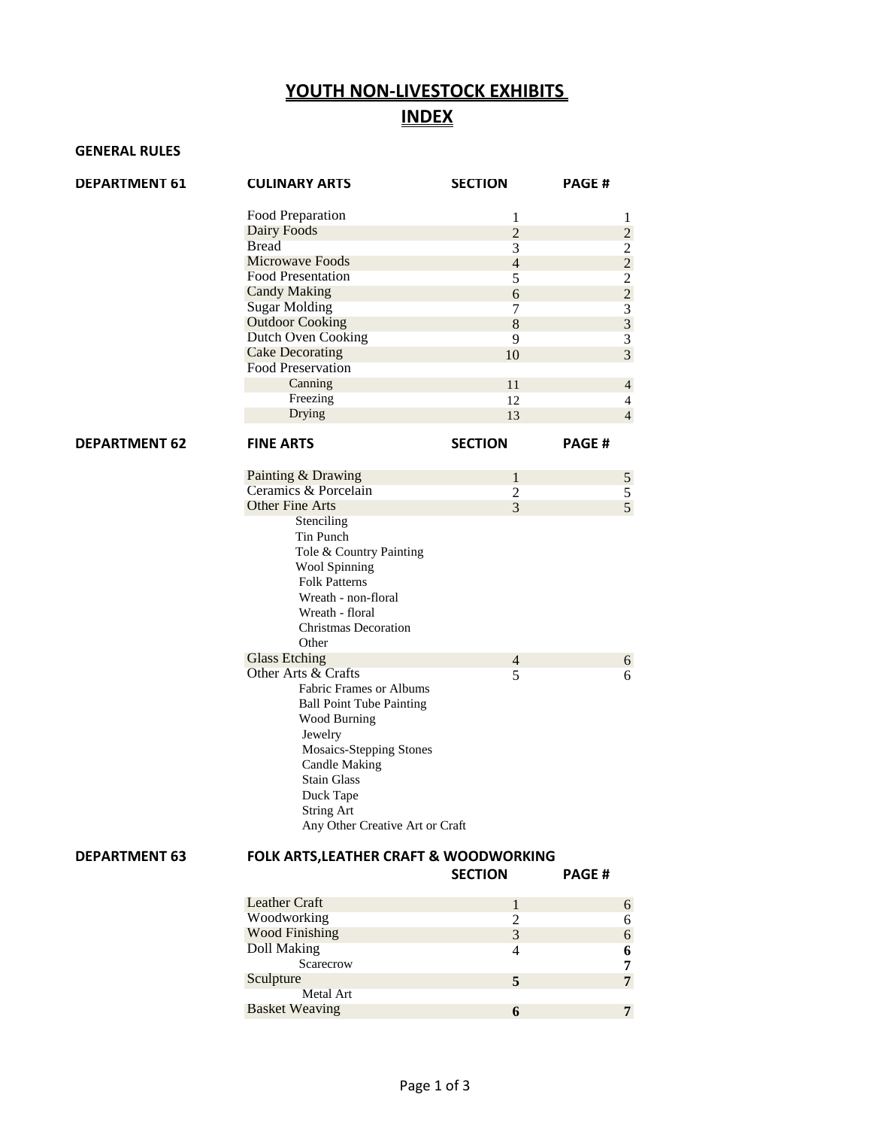## **YOUTH NON-LIVESTOCK EXHIBITS INDEX**

## **GENERAL RULES**

| <b>DEPARTMENT 61</b> | <b>CULINARY ARTS</b>                              | <b>SECTION</b> | <b>PAGE#</b> |                                            |
|----------------------|---------------------------------------------------|----------------|--------------|--------------------------------------------|
|                      | Food Preparation                                  | 1              |              | 1                                          |
|                      | Dairy Foods                                       | $\overline{c}$ |              | $\overline{c}$                             |
|                      | <b>Bread</b>                                      | 3              |              | $\overline{2}$                             |
|                      | Microwave Foods                                   | $\overline{4}$ |              |                                            |
|                      | <b>Food Presentation</b>                          | 5              |              | $\begin{array}{c} 2 \\ 2 \\ 3 \end{array}$ |
|                      | <b>Candy Making</b>                               | 6              |              |                                            |
|                      | <b>Sugar Molding</b>                              | 7              |              |                                            |
|                      | <b>Outdoor Cooking</b>                            | $\,8\,$        |              |                                            |
|                      | <b>Dutch Oven Cooking</b>                         |                |              | $\overline{\mathbf{3}}$                    |
|                      |                                                   | 9              |              | $\overline{\mathbf{3}}$                    |
|                      | <b>Cake Decorating</b>                            | 10             |              | $\overline{3}$                             |
|                      | <b>Food Preservation</b>                          |                |              |                                            |
|                      | Canning                                           | 11             |              | $\overline{4}$                             |
|                      | Freezing                                          | 12             |              | $\overline{4}$                             |
|                      | Drying                                            | 13             |              | $\overline{4}$                             |
| <b>DEPARTMENT 62</b> | <b>FINE ARTS</b>                                  | <b>SECTION</b> | <b>PAGE#</b> |                                            |
|                      |                                                   |                |              |                                            |
|                      | Painting & Drawing                                | $\mathbf 1$    |              | $\mathfrak{S}$                             |
|                      | Ceramics & Porcelain                              | $\overline{2}$ |              | $rac{5}{5}$                                |
|                      | <b>Other Fine Arts</b>                            | $\overline{3}$ |              |                                            |
|                      | Stenciling                                        |                |              |                                            |
|                      | Tin Punch                                         |                |              |                                            |
|                      | Tole & Country Painting                           |                |              |                                            |
|                      | Wool Spinning                                     |                |              |                                            |
|                      | <b>Folk Patterns</b>                              |                |              |                                            |
|                      | Wreath - non-floral                               |                |              |                                            |
|                      | Wreath - floral                                   |                |              |                                            |
|                      | <b>Christmas Decoration</b>                       |                |              |                                            |
|                      | Other                                             |                |              |                                            |
|                      | <b>Glass Etching</b>                              | $\overline{4}$ |              | $6\,$                                      |
|                      | Other Arts & Crafts                               | 5              |              | 6                                          |
|                      | Fabric Frames or Albums                           |                |              |                                            |
|                      | <b>Ball Point Tube Painting</b>                   |                |              |                                            |
|                      | Wood Burning                                      |                |              |                                            |
|                      | Jewelry                                           |                |              |                                            |
|                      | <b>Mosaics-Stepping Stones</b>                    |                |              |                                            |
|                      |                                                   |                |              |                                            |
|                      | <b>Candle Making</b>                              |                |              |                                            |
|                      | <b>Stain Glass</b>                                |                |              |                                            |
|                      | Duck Tape                                         |                |              |                                            |
|                      | String Art                                        |                |              |                                            |
|                      | Any Other Creative Art or Craft                   |                |              |                                            |
| <b>DEPARTMENT 63</b> | <b>FOLK ARTS, LEATHER CRAFT &amp; WOODWORKING</b> |                |              |                                            |
|                      |                                                   | <b>SECTION</b> | PAGE#        |                                            |
|                      | <b>Leather Craft</b>                              | $\mathbf{1}$   |              | $\boldsymbol{6}$                           |
|                      | Woodworking                                       | $\overline{c}$ |              | 6                                          |
|                      | <b>Wood Finishing</b>                             | $\overline{3}$ |              | $\epsilon$                                 |
|                      | <b>Doll Making</b>                                | $\overline{4}$ |              | 6                                          |
|                      | Scarecrow                                         |                |              | 7                                          |
|                      | Sculpture                                         | 5              |              | $\overline{7}$                             |
|                      | <b>Metal Art</b>                                  |                |              |                                            |
|                      | <b>Basket Weaving</b>                             | 6              |              | $\overline{7}$                             |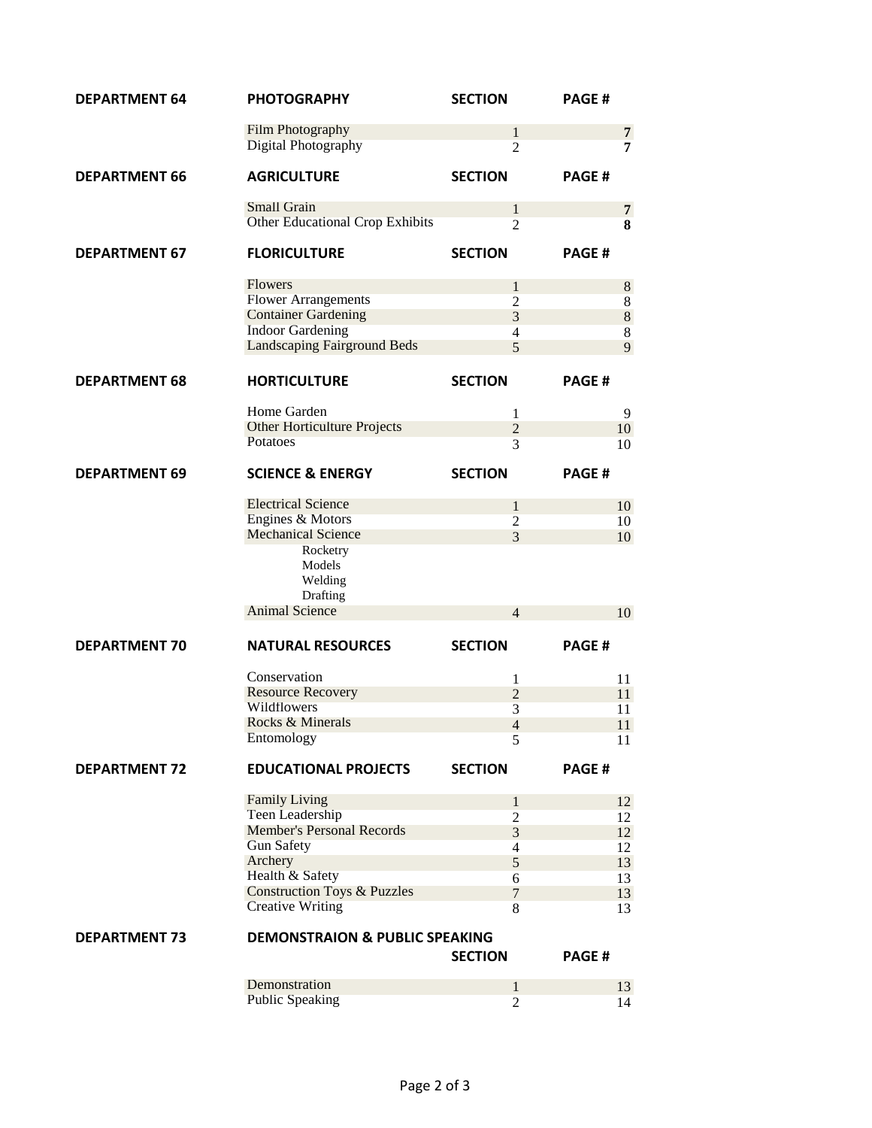| <b>DEPARTMENT 64</b> | <b>PHOTOGRAPHY</b>                        | <b>SECTION</b>                 | <b>PAGE#</b> |  |  |
|----------------------|-------------------------------------------|--------------------------------|--------------|--|--|
|                      | Film Photography                          | $\mathbf{1}$                   | 7            |  |  |
|                      | <b>Digital Photography</b>                | $\overline{2}$                 | 7            |  |  |
|                      |                                           |                                |              |  |  |
| <b>DEPARTMENT 66</b> | <b>AGRICULTURE</b>                        | <b>SECTION</b>                 | <b>PAGE#</b> |  |  |
|                      | <b>Small Grain</b>                        | $\mathbf{1}$                   | 7            |  |  |
|                      | <b>Other Educational Crop Exhibits</b>    | $\overline{2}$                 | 8            |  |  |
| <b>DEPARTMENT 67</b> | <b>FLORICULTURE</b>                       | <b>SECTION</b>                 | <b>PAGE#</b> |  |  |
|                      | <b>Flowers</b>                            | $\mathbf 1$                    | 8            |  |  |
|                      | <b>Flower Arrangements</b>                | $\overline{2}$                 | 8            |  |  |
|                      | <b>Container Gardening</b>                | 3                              | 8            |  |  |
|                      | <b>Indoor Gardening</b>                   | $\overline{4}$                 | 8            |  |  |
|                      | <b>Landscaping Fairground Beds</b>        | 5                              | 9            |  |  |
| <b>DEPARTMENT 68</b> | <b>HORTICULTURE</b>                       | <b>SECTION</b>                 | <b>PAGE#</b> |  |  |
|                      |                                           |                                |              |  |  |
|                      | Home Garden                               | 1                              | 9            |  |  |
|                      | <b>Other Horticulture Projects</b>        | $\overline{2}$                 | 10           |  |  |
|                      | Potatoes                                  | 3                              | 10           |  |  |
| <b>DEPARTMENT 69</b> | <b>SCIENCE &amp; ENERGY</b>               | <b>SECTION</b>                 | <b>PAGE#</b> |  |  |
|                      | <b>Electrical Science</b>                 | $\mathbf{1}$                   | 10           |  |  |
|                      | Engines & Motors                          | $\overline{2}$                 | 10           |  |  |
|                      | <b>Mechanical Science</b>                 | 3                              | 10           |  |  |
|                      | Rocketry                                  |                                |              |  |  |
|                      | Models<br>Welding                         |                                |              |  |  |
|                      | Drafting<br><b>Animal Science</b>         |                                |              |  |  |
|                      |                                           | $\overline{4}$                 | 10           |  |  |
| <b>DEPARTMENT 70</b> | <b>NATURAL RESOURCES</b>                  | <b>SECTION</b>                 | <b>PAGE#</b> |  |  |
|                      | Conservation                              | $\mathbf{1}$                   | 11           |  |  |
|                      | <b>Resource Recovery</b>                  | $\overline{c}$                 | 11           |  |  |
|                      | Wildflowers                               | $\overline{3}$                 | 11           |  |  |
|                      | Rocks & Minerals                          | $\overline{4}$                 | 11           |  |  |
|                      | Entomology                                | 5                              | 11           |  |  |
| <b>DEPARTMENT 72</b> | <b>EDUCATIONAL PROJECTS</b>               | <b>SECTION</b>                 | PAGE#        |  |  |
|                      |                                           |                                |              |  |  |
|                      | <b>Family Living</b>                      | $\mathbf{1}$                   | 12           |  |  |
|                      | <b>Teen Leadership</b>                    | $\overline{2}$                 | 12           |  |  |
|                      | <b>Member's Personal Records</b>          | 3                              | 12           |  |  |
|                      | <b>Gun Safety</b>                         | $\overline{4}$                 | 12           |  |  |
|                      | Archery                                   | 5                              | 13           |  |  |
|                      | Health & Safety                           | 6                              | 13           |  |  |
|                      | <b>Construction Toys &amp; Puzzles</b>    | $\overline{7}$                 | 13           |  |  |
|                      | <b>Creative Writing</b>                   | 8                              | 13           |  |  |
| <b>DEPARTMENT 73</b> | <b>DEMONSTRAION &amp; PUBLIC SPEAKING</b> |                                |              |  |  |
|                      |                                           | <b>SECTION</b>                 | <b>PAGE#</b> |  |  |
|                      | Demonstration                             |                                |              |  |  |
|                      | <b>Public Speaking</b>                    | $\mathbf{1}$<br>$\overline{2}$ | 13<br>14     |  |  |
|                      |                                           |                                |              |  |  |